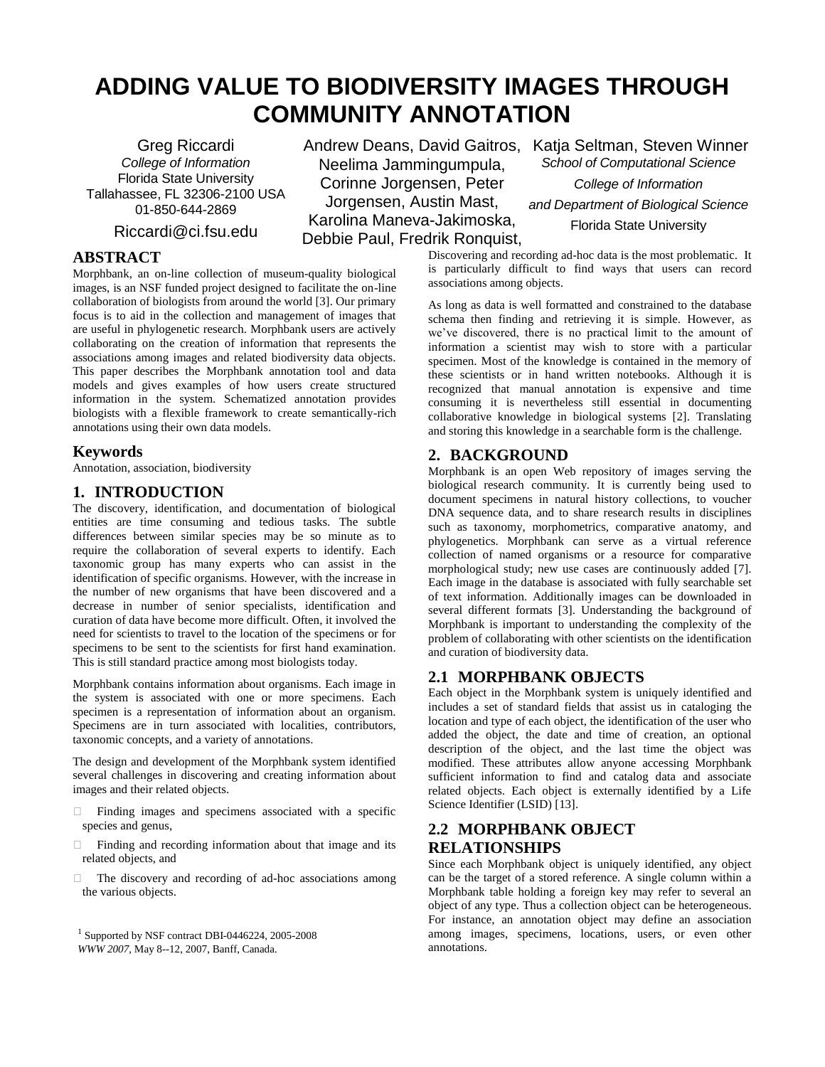# **ADDING VALUE TO BIODIVERSITY IMAGES THROUGH COMMUNITY ANNOTATION**

Greg Riccardi *College of Information* Florida State University Tallahassee, FL 32306-2100 USA 01-850-644-2869

Riccardi@ci.fsu.edu

### **ABSTRACT**

Morphbank, an on-line collection of museum-quality biological images, is an NSF funded project designed to facilitate the on-line collaboration of biologists from around the world [3]. Our primary focus is to aid in the collection and management of images that are useful in phylogenetic research. Morphbank users are actively collaborating on the creation of information that represents the associations among images and related biodiversity data objects. This paper describes the Morphbank annotation tool and data models and gives examples of how users create structured information in the system. Schematized annotation provides biologists with a flexible framework to create semantically-rich annotations using their own data models.

### **Keywords**

Annotation, association, biodiversity

### **1. INTRODUCTION**

The discovery, identification, and documentation of biological entities are time consuming and tedious tasks. The subtle differences between similar species may be so minute as to require the collaboration of several experts to identify. Each taxonomic group has many experts who can assist in the identification of specific organisms. However, with the increase in the number of new organisms that have been discovered and a decrease in number of senior specialists, identification and curation of data have become more difficult. Often, it involved the need for scientists to travel to the location of the specimens or for specimens to be sent to the scientists for first hand examination. This is still standard practice among most biologists today.

Morphbank contains information about organisms. Each image in the system is associated with one or more specimens. Each specimen is a representation of information about an organism. Specimens are in turn associated with localities, contributors, taxonomic concepts, and a variety of annotations.

The design and development of the Morphbank system identified several challenges in discovering and creating information about images and their related objects.

- $\Box$  Finding images and specimens associated with a specific species and genus,
- Finding and recording information about that image and its related objects, and
- $\Box$  The discovery and recording of ad-hoc associations among the various objects.

Andrew Deans, David Gaitros, Katja Seltman, Steven Winner Neelima Jammingumpula, Corinne Jorgensen, Peter Jorgensen, Austin Mast, Karolina Maneva-Jakimoska, Debbie Paul, Fredrik Ronquist,

*School of Computational Science College of Information and Department of Biological Science* Florida State University

Discovering and recording ad-hoc data is the most problematic. It is particularly difficult to find ways that users can record associations among objects.

As long as data is well formatted and constrained to the database schema then finding and retrieving it is simple. However, as we've discovered, there is no practical limit to the amount of information a scientist may wish to store with a particular specimen. Most of the knowledge is contained in the memory of these scientists or in hand written notebooks. Although it is recognized that manual annotation is expensive and time consuming it is nevertheless still essential in documenting collaborative knowledge in biological systems [2]. Translating and storing this knowledge in a searchable form is the challenge.

## **2. BACKGROUND**

Morphbank is an open Web repository of images serving the biological research community. It is currently being used to document specimens in natural history collections, to voucher DNA sequence data, and to share research results in disciplines such as taxonomy, morphometrics, comparative anatomy, and phylogenetics. Morphbank can serve as a virtual reference collection of named organisms or a resource for comparative morphological study; new use cases are continuously added [7]. Each image in the database is associated with fully searchable set of text information. Additionally images can be downloaded in several different formats [3]. Understanding the background of Morphbank is important to understanding the complexity of the problem of collaborating with other scientists on the identification and curation of biodiversity data.

### **2.1 MORPHBANK OBJECTS**

Each object in the Morphbank system is uniquely identified and includes a set of standard fields that assist us in cataloging the location and type of each object, the identification of the user who added the object, the date and time of creation, an optional description of the object, and the last time the object was modified. These attributes allow anyone accessing Morphbank sufficient information to find and catalog data and associate related objects. Each object is externally identified by a Life Science Identifier (LSID) [13].

# **2.2 MORPHBANK OBJECT RELATIONSHIPS**

Since each Morphbank object is uniquely identified, any object can be the target of a stored reference. A single column within a Morphbank table holding a foreign key may refer to several an object of any type. Thus a collection object can be heterogeneous. For instance, an annotation object may define an association among images, specimens, locations, users, or even other annotations.

<sup>1</sup> Supported by NSF contract DBI-0446224, 2005-2008 *WWW 2007*, May 8--12, 2007, Banff, Canada.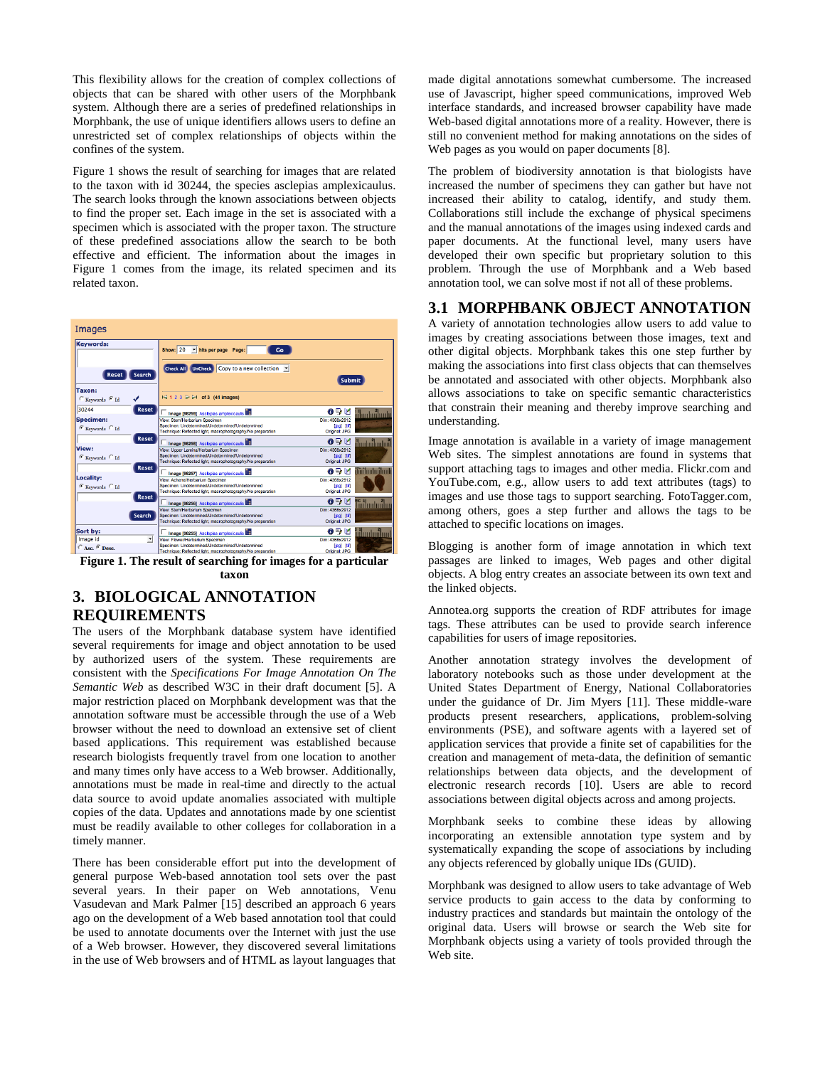This flexibility allows for the creation of complex collections of objects that can be shared with other users of the Morphbank system. Although there are a series of predefined relationships in Morphbank, the use of unique identifiers allows users to define an unrestricted set of complex relationships of objects within the confines of the system.

Figure 1 shows the result of searching for images that are related to the taxon with id 30244, the species asclepias amplexicaulus. The search looks through the known associations between objects to find the proper set. Each image in the set is associated with a specimen which is associated with the proper taxon. The structure of these predefined associations allow the search to be both effective and efficient. The information about the images in Figure 1 comes from the image, its related specimen and its related taxon.



**taxon**

# **3. BIOLOGICAL ANNOTATION REQUIREMENTS**

The users of the Morphbank database system have identified several requirements for image and object annotation to be used by authorized users of the system. These requirements are consistent with the *Specifications For Image Annotation On The Semantic Web* as described W3C in their draft document [5]. A major restriction placed on Morphbank development was that the annotation software must be accessible through the use of a Web browser without the need to download an extensive set of client based applications. This requirement was established because research biologists frequently travel from one location to another and many times only have access to a Web browser. Additionally, annotations must be made in real-time and directly to the actual data source to avoid update anomalies associated with multiple copies of the data. Updates and annotations made by one scientist must be readily available to other colleges for collaboration in a timely manner.

There has been considerable effort put into the development of general purpose Web-based annotation tool sets over the past several years. In their paper on Web annotations, Venu Vasudevan and Mark Palmer [15] described an approach 6 years ago on the development of a Web based annotation tool that could be used to annotate documents over the Internet with just the use of a Web browser. However, they discovered several limitations in the use of Web browsers and of HTML as layout languages that

made digital annotations somewhat cumbersome. The increased use of Javascript, higher speed communications, improved Web interface standards, and increased browser capability have made Web-based digital annotations more of a reality. However, there is still no convenient method for making annotations on the sides of Web pages as you would on paper documents [8].

The problem of biodiversity annotation is that biologists have increased the number of specimens they can gather but have not increased their ability to catalog, identify, and study them. Collaborations still include the exchange of physical specimens and the manual annotations of the images using indexed cards and paper documents. At the functional level, many users have developed their own specific but proprietary solution to this problem. Through the use of Morphbank and a Web based annotation tool, we can solve most if not all of these problems.

### **3.1 MORPHBANK OBJECT ANNOTATION**

A variety of annotation technologies allow users to add value to images by creating associations between those images, text and other digital objects. Morphbank takes this one step further by making the associations into first class objects that can themselves be annotated and associated with other objects. Morphbank also allows associations to take on specific semantic characteristics that constrain their meaning and thereby improve searching and understanding.

Image annotation is available in a variety of image management Web sites. The simplest annotations are found in systems that support attaching tags to images and other media. Flickr.com and YouTube.com, e.g., allow users to add text attributes (tags) to images and use those tags to support searching. FotoTagger.com, among others, goes a step further and allows the tags to be attached to specific locations on images.

Blogging is another form of image annotation in which text passages are linked to images, Web pages and other digital objects. A blog entry creates an associate between its own text and the linked objects.

Annotea.org supports the creation of RDF attributes for image tags. These attributes can be used to provide search inference capabilities for users of image repositories.

Another annotation strategy involves the development of laboratory notebooks such as those under development at the United States Department of Energy, National Collaboratories under the guidance of Dr. Jim Myers [11]. These middle-ware products present researchers, applications, problem-solving environments (PSE), and software agents with a layered set of application services that provide a finite set of capabilities for the creation and management of meta-data, the definition of semantic relationships between data objects, and the development of electronic research records [10]. Users are able to record associations between digital objects across and among projects.

Morphbank seeks to combine these ideas by allowing incorporating an extensible annotation type system and by systematically expanding the scope of associations by including any objects referenced by globally unique IDs (GUID).

Morphbank was designed to allow users to take advantage of Web service products to gain access to the data by conforming to industry practices and standards but maintain the ontology of the original data. Users will browse or search the Web site for Morphbank objects using a variety of tools provided through the Web site.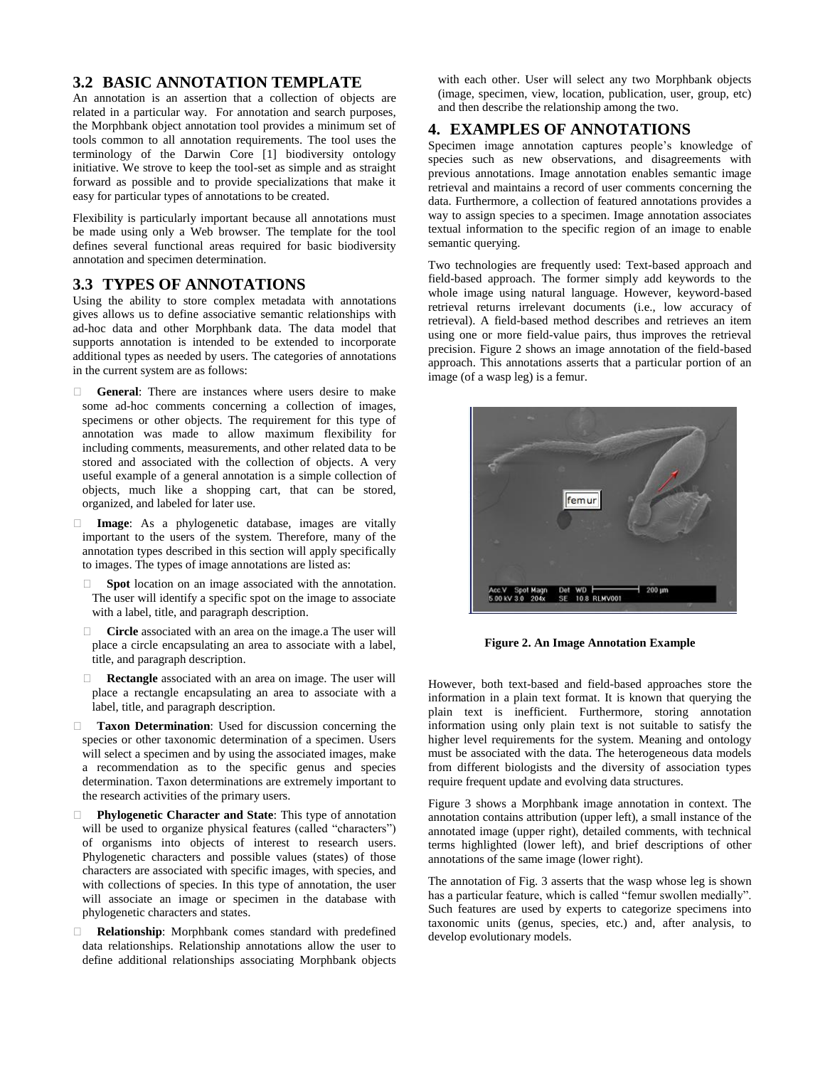#### **3.2 BASIC ANNOTATION TEMPLATE**

An annotation is an assertion that a collection of objects are related in a particular way. For annotation and search purposes, the Morphbank object annotation tool provides a minimum set of tools common to all annotation requirements. The tool uses the terminology of the Darwin Core [1] biodiversity ontology initiative. We strove to keep the tool-set as simple and as straight forward as possible and to provide specializations that make it easy for particular types of annotations to be created.

Flexibility is particularly important because all annotations must be made using only a Web browser. The template for the tool defines several functional areas required for basic biodiversity annotation and specimen determination.

#### **3.3 TYPES OF ANNOTATIONS**

Using the ability to store complex metadata with annotations gives allows us to define associative semantic relationships with ad-hoc data and other Morphbank data. The data model that supports annotation is intended to be extended to incorporate additional types as needed by users. The categories of annotations in the current system are as follows:

- **General**: There are instances where users desire to make some ad-hoc comments concerning a collection of images, specimens or other objects. The requirement for this type of annotation was made to allow maximum flexibility for including comments, measurements, and other related data to be stored and associated with the collection of objects. A very useful example of a general annotation is a simple collection of objects, much like a shopping cart, that can be stored, organized, and labeled for later use.
- **Image**: As a phylogenetic database, images are vitally important to the users of the system. Therefore, many of the annotation types described in this section will apply specifically to images. The types of image annotations are listed as:
- **Spot** location on an image associated with the annotation. The user will identify a specific spot on the image to associate with a label, title, and paragraph description.
- **Circle** associated with an area on the image.a The user will place a circle encapsulating an area to associate with a label, title, and paragraph description.
- **Rectangle** associated with an area on image. The user will place a rectangle encapsulating an area to associate with a label, title, and paragraph description.
- **Taxon Determination**: Used for discussion concerning the species or other taxonomic determination of a specimen. Users will select a specimen and by using the associated images, make a recommendation as to the specific genus and species determination. Taxon determinations are extremely important to the research activities of the primary users.
- **Phylogenetic Character and State**: This type of annotation will be used to organize physical features (called "characters") of organisms into objects of interest to research users. Phylogenetic characters and possible values (states) of those characters are associated with specific images, with species, and with collections of species. In this type of annotation, the user will associate an image or specimen in the database with phylogenetic characters and states.
- **Relationship:** Morphbank comes standard with predefined data relationships. Relationship annotations allow the user to define additional relationships associating Morphbank objects

with each other. User will select any two Morphbank objects (image, specimen, view, location, publication, user, group, etc) and then describe the relationship among the two.

#### **4. EXAMPLES OF ANNOTATIONS**

Specimen image annotation captures people's knowledge of species such as new observations, and disagreements with previous annotations. Image annotation enables semantic image retrieval and maintains a record of user comments concerning the data. Furthermore, a collection of featured annotations provides a way to assign species to a specimen. Image annotation associates textual information to the specific region of an image to enable semantic querying.

Two technologies are frequently used: Text-based approach and field-based approach. The former simply add keywords to the whole image using natural language. However, keyword-based retrieval returns irrelevant documents (i.e., low accuracy of retrieval). A field-based method describes and retrieves an item using one or more field-value pairs, thus improves the retrieval precision. Figure 2 shows an image annotation of the field-based approach. This annotations asserts that a particular portion of an image (of a wasp leg) is a femur.



**Figure 2. An Image Annotation Example** 

However, both text-based and field-based approaches store the information in a plain text format. It is known that querying the plain text is inefficient. Furthermore, storing annotation information using only plain text is not suitable to satisfy the higher level requirements for the system. Meaning and ontology must be associated with the data. The heterogeneous data models from different biologists and the diversity of association types require frequent update and evolving data structures.

Figure 3 shows a Morphbank image annotation in context. The annotation contains attribution (upper left), a small instance of the annotated image (upper right), detailed comments, with technical terms highlighted (lower left), and brief descriptions of other annotations of the same image (lower right).

The annotation of Fig. 3 asserts that the wasp whose leg is shown has a particular feature, which is called "femur swollen medially". Such features are used by experts to categorize specimens into taxonomic units (genus, species, etc.) and, after analysis, to develop evolutionary models.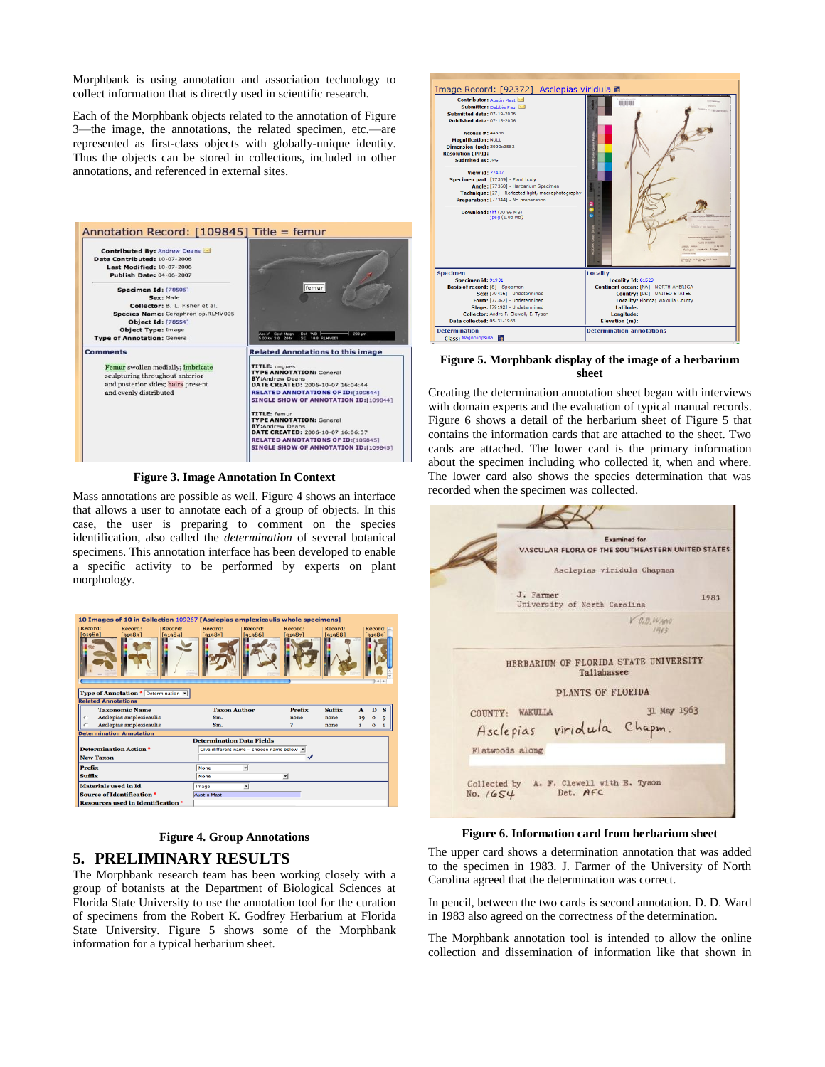Morphbank is using annotation and association technology to collect information that is directly used in scientific research.

Each of the Morphbank objects related to the annotation of Figure 3—the image, the annotations, the related specimen, etc.—are represented as first-class objects with globally-unique identity. Thus the objects can be stored in collections, included in other annotations, and referenced in external sites.



**Figure 3. Image Annotation In Context** 

Mass annotations are possible as well. Figure 4 shows an interface that allows a user to annotate each of a group of objects. In this case, the user is preparing to comment on the species identification, also called the *determination* of several botanical specimens. This annotation interface has been developed to enable a specific activity to be performed by experts on plant morphology.

| 10 Images of 10 in Collection 109267 [Asclepias amplexicaulis whole specimens]                         |                     |                   |                    |                    |              |              |                         |  |  |
|--------------------------------------------------------------------------------------------------------|---------------------|-------------------|--------------------|--------------------|--------------|--------------|-------------------------|--|--|
| Kecord:<br>Record:<br>Record:<br>[91982]<br>[91983]<br>[91984]<br>Type of Annotation * Determination v | Record:<br>[91985]  | Record:<br>0.0861 | Record:<br>[91987] | Record:<br>[91988] |              | [91989]      | <b>Record:</b><br>$+ +$ |  |  |
| <b>Related Annotations</b>                                                                             |                     |                   |                    |                    |              |              |                         |  |  |
| <b>Taxonomic Name</b>                                                                                  | <b>Taxon Author</b> |                   | Prefix             | Suffix             | $\mathbf{A}$ | $\mathbf{D}$ | s                       |  |  |
| Asclepias amplexicaulis                                                                                | Sm.                 |                   | none               | none               | 19           | $\mathbf{o}$ | $\mathbf Q$             |  |  |
| Asclepias amplexicaulis<br>Sm.                                                                         |                     | 2                 | none               | 1                  | o            |              |                         |  |  |
| <b>Determination Annotation</b>                                                                        |                     |                   |                    |                    |              |              |                         |  |  |
| <b>Determination Data Fields</b>                                                                       |                     |                   |                    |                    |              |              |                         |  |  |
| <b>Determination Action *</b><br>Give different name - choose name below -<br><b>New Taxon</b>         |                     |                   |                    |                    |              |              |                         |  |  |
| <b>Prefix</b>                                                                                          | <b>None</b>         |                   |                    |                    |              |              |                         |  |  |
|                                                                                                        |                     |                   |                    |                    |              |              |                         |  |  |
| <b>Suffix</b>                                                                                          | <b>None</b>         |                   | $\blacksquare$     |                    |              |              |                         |  |  |
| <b>Materials used in Id</b>                                                                            | Image               | ٠                 |                    |                    |              |              |                         |  |  |
| <b>Source of Identification *</b>                                                                      | <b>Austin Mast</b>  |                   |                    |                    |              |              |                         |  |  |
| <b>Resources used in Identification *</b>                                                              |                     |                   |                    |                    |              |              |                         |  |  |

**Figure 4. Group Annotations** 

#### **5. PRELIMINARY RESULTS**

The Morphbank research team has been working closely with a group of botanists at the Department of Biological Sciences at Florida State University to use the annotation tool for the curation of specimens from the Robert K. Godfrey Herbarium at Florida State University. Figure 5 shows some of the Morphbank information for a typical herbarium sheet.



#### **Figure 5. Morphbank display of the image of a herbarium sheet**

Creating the determination annotation sheet began with interviews with domain experts and the evaluation of typical manual records. Figure 6 shows a detail of the herbarium sheet of Figure 5 that contains the information cards that are attached to the sheet. Two cards are attached. The lower card is the primary information about the specimen including who collected it, when and where. The lower card also shows the species determination that was recorded when the specimen was collected.

| <b>Examined for</b><br>VASCULAR FLORA OF THE SOUTHEASTERN UNITED STATES<br>Asclepias viridula Chapman |             |
|-------------------------------------------------------------------------------------------------------|-------------|
| J. Farmer<br>University of North Carolina                                                             | 1983        |
| $V$ $0,0,$ $W$ and<br>1965                                                                            |             |
| HERBARIUM OF FLORIDA STATE UNIVERSITY<br>Tallahassee<br>PLANTS OF FLORIDA                             |             |
| COUNTY: WAKULLA                                                                                       | 31 May 1963 |
| Asclepias viridula Chapm.                                                                             |             |
| Flatwoods along                                                                                       |             |

**Figure 6. Information card from herbarium sheet**

The upper card shows a determination annotation that was added to the specimen in 1983. J. Farmer of the University of North Carolina agreed that the determination was correct.

In pencil, between the two cards is second annotation. D. D. Ward in 1983 also agreed on the correctness of the determination.

The Morphbank annotation tool is intended to allow the online collection and dissemination of information like that shown in